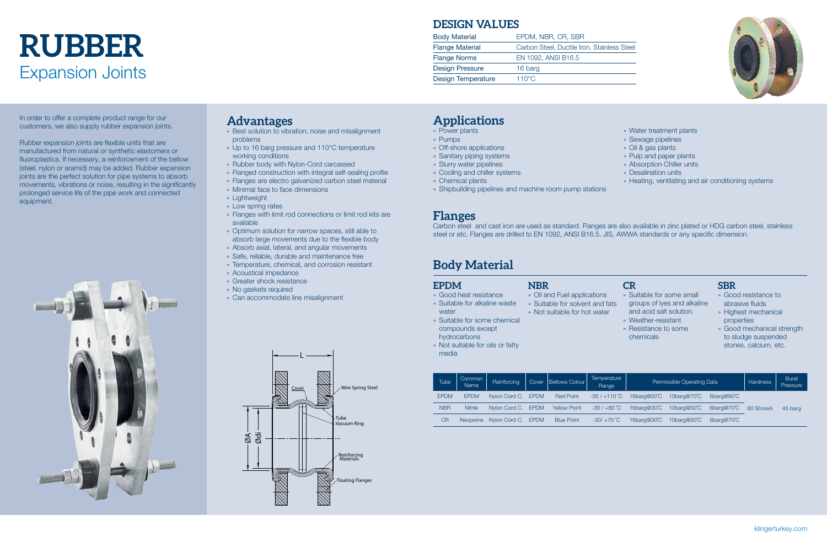# Expansion Joints **rubber**

In order to offer a complete product range for our customers, we also supply rubber expansion joints.

Rubber expansion joints are flexible units that are manufactured from natural or synthetic elastomers or fluoroplastics. If necessary, a reinforcement of the bellow (steel, nylon or aramid) may be added. Rubber expansion joints are the perfect solution for pipe systems to absorb movements, vibrations or noise, resulting in the significantly prolonged service life of the pipe work and connected equipment.



## **Applications**

- » Power plants
- » Pumps
- » Off-shore applications
- » Sanitary piping systems
- » Slurry water pipelines
- » Cooling and chiller systems
- » Chemical plants
- » Shipbuilding pipelines and machine room pump stations
- » Water treatment plants
- » Sewage pipelines
- » Oil & gas plants
- » Pulp and paper plants
- » Absorption Chiller units
- » Desalination units
- » Heating, ventilating and air conditioning systems

#### **EPDM**

- » Good heat resistance
- » Suitable for alkaline waste
	-
- compounds except hydrocarbons

## **CR**

- » Suitable for some small groups of lyes and alkaline and acid salt solution.
- » Weather-resistant
- » Resistance to some chemicals

# **Flanges**

- » Oil and Fuel applications » Suitable for solvent and fats
- » Not suitable for hot water
- 
- 
- 
- 
- water » Suitable for some chemical
- » Not suitable for oils or fatty media
- 

|--|



Carbon steel and cast iron are used as standard. Flanges are also available in zinc plated or HDG carbon steel, stainless steel or etc. Flanges are drilled to EN 1092, ANSI B16.5, JIS, AWWA standards or any specific dimension.

# **NBR**

#### **SBR**

- » Good resistance to abrasive fluids
- » Highest mechanical properties
- » Good mechanical strength to sludge suspended stones, calcium, etc.



## **Advantages**

- » Best solution to vibration, noise and misalignment problems
- » Up to 16 barg pressure and 110°C temperature working conditions
- » Rubber body with Nylon-Cord carcassed
- » Flanged construction with integral self-sealing profile
- » Flanges are electro galvanized carbon steel material
- » Minimal face to face dimensions
- » Lightweight
- » Low spring rates
- » Flanges with limit rod connections or limit rod kits are available
- » Optimum solution for narrow spaces, still able to absorb large movements due to the flexible body
- » Absorb axial, lateral, and angular movements
- » Safe, reliable, durable and maintenance free
- » Temperature, chemical, and corrosion resistant
- » Acoustical impedance
- » Greater shock resistance
- » No gaskets required
- » Can accommodate line misalignment

| Tube        | Common<br>Name  | Reinforcing        | Cover | Bellows Colour      | Temperature<br>Range | Permissible Operating Data |                        |            | <b>Hardness</b> | <b>Burst</b><br>Pressure |
|-------------|-----------------|--------------------|-------|---------------------|----------------------|----------------------------|------------------------|------------|-----------------|--------------------------|
| <b>EPDM</b> | <b>EPDM</b>     | Nylon Cord C. EPDM |       | <b>Red Point</b>    | $-35/+110^{\circ}$ C | 16barg@50°C                | 10 $barq@70^{\circ}C$  | 6barg@90°C |                 |                          |
| <b>NBR</b>  | <b>Nitrile</b>  | Nylon Cord C. EPDM |       | <b>Yellow Point</b> | $-30/+80^{\circ}$ C  | 16barg@30°C                | 10barg@50°C            | 6barg@70°C | 60 ShoreA       | 45 barg                  |
| <b>CR</b>   | <b>Neoprene</b> | Nylon Cord C. EPDM |       | <b>Blue Point</b>   | $-30/ +70 °C$        | 16barg@30°C                | 10barg@50 $^{\circ}$ C | 6barg@70°C |                 |                          |

# **Body Material**

### **DESIGN VALUES**

| <b>Body Material</b>      | EPDM, NBR, CR, SBR                          |
|---------------------------|---------------------------------------------|
| <b>Flange Material</b>    | Carbon Steel, Ductile Iron, Stainless Steel |
| <b>Flange Norms</b>       | EN 1092, ANSI B16.5                         |
| <b>Design Pressure</b>    | 16 barg                                     |
| <b>Design Temperature</b> | $110^{\circ}$ C                             |